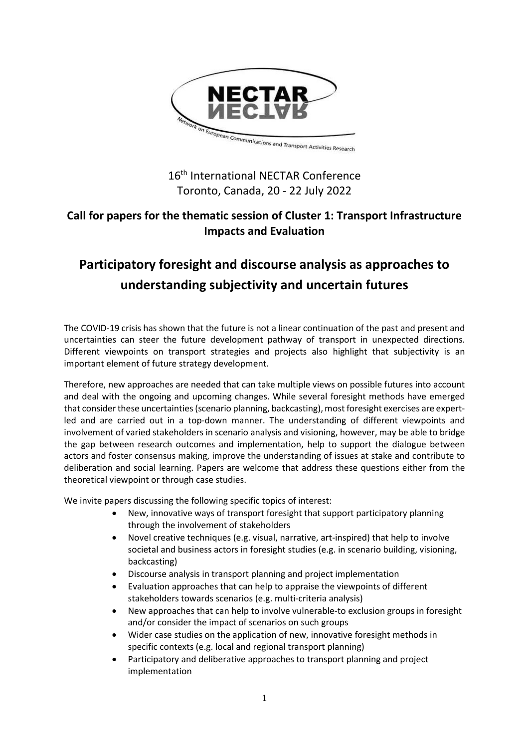

## 16<sup>th</sup> International NECTAR Conference Toronto, Canada, 20 - 22 July 2022

## **Call for papers for the thematic session of Cluster 1: Transport Infrastructure Impacts and Evaluation**

# **Participatory foresight and discourse analysis as approaches to understanding subjectivity and uncertain futures**

The COVID-19 crisis has shown that the future is not a linear continuation of the past and present and uncertainties can steer the future development pathway of transport in unexpected directions. Different viewpoints on transport strategies and projects also highlight that subjectivity is an important element of future strategy development.

Therefore, new approaches are needed that can take multiple views on possible futures into account and deal with the ongoing and upcoming changes. While several foresight methods have emerged that consider these uncertainties (scenario planning, backcasting), most foresight exercises are expertled and are carried out in a top-down manner. The understanding of different viewpoints and involvement of varied stakeholders in scenario analysis and visioning, however, may be able to bridge the gap between research outcomes and implementation, help to support the dialogue between actors and foster consensus making, improve the understanding of issues at stake and contribute to deliberation and social learning. Papers are welcome that address these questions either from the theoretical viewpoint or through case studies.

We invite papers discussing the following specific topics of interest:

- New, innovative ways of transport foresight that support participatory planning through the involvement of stakeholders
- Novel creative techniques (e.g. visual, narrative, art-inspired) that help to involve societal and business actors in foresight studies (e.g. in scenario building, visioning, backcasting)
- Discourse analysis in transport planning and project implementation
- Evaluation approaches that can help to appraise the viewpoints of different stakeholders towards scenarios (e.g. multi-criteria analysis)
- New approaches that can help to involve vulnerable-to exclusion groups in foresight and/or consider the impact of scenarios on such groups
- Wider case studies on the application of new, innovative foresight methods in specific contexts (e.g. local and regional transport planning)
- Participatory and deliberative approaches to transport planning and project implementation